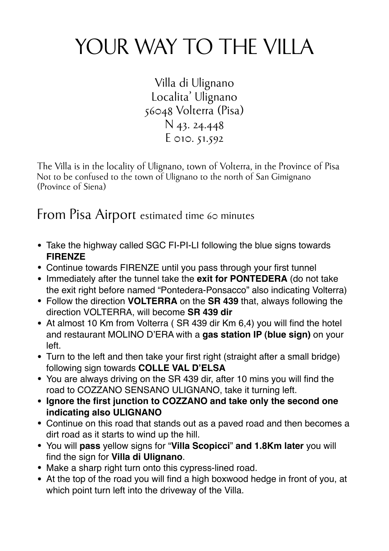## YOUR WAY TO THE VILLA

Villa di Ulignano Localita' Ulignano 56048 Volterra (Pisa) N 43. 24.448 E 010. 51.592

The Villa is in the locality of Ulignano, town of Volterra, in the Province of Pisa Not to be confused to the town of Ulignano to the north of San Gimignano (Province of Siena)

From Pisa Airport estimated time 60 minutes

- Take the highway called SGC FI-PI-LI following the blue signs towards **FIRENZE**
- Continue towards FIRENZE until you pass through your first tunnel
- Immediately after the tunnel take the **exit for PONTEDERA** (do not take the exit right before named "Pontedera-Ponsacco" also indicating Volterra)
- Follow the direction **VOLTERRA** on the **SR 439** that, always following the direction VOLTERRA, will become **SR 439 dir**
- At almost 10 Km from Volterra ( SR 439 dir Km 6,4) you will find the hotel and restaurant MOLINO D'ERA with a **gas station IP (blue sign)** on your left.
- Turn to the left and then take your first right (straight after a small bridge) following sign towards **COLLE VAL D'ELSA**
- You are always driving on the SR 439 dir, after 10 mins you will find the road to COZZANO SENSANO ULIGNANO, take it turning left.
- **• Ignore the first junction to COZZANO and take only the second one indicating also ULIGNANO**
- Continue on this road that stands out as a paved road and then becomes a dirt road as it starts to wind up the hill.
- You will **pass** yellow signs for "**Villa Scopicci**" **and 1.8Km later** you will find the sign for **Villa di Ulignano**.
- Make a sharp right turn onto this cypress-lined road.
- At the top of the road you will find a high boxwood hedge in front of you, at which point turn left into the driveway of the Villa.